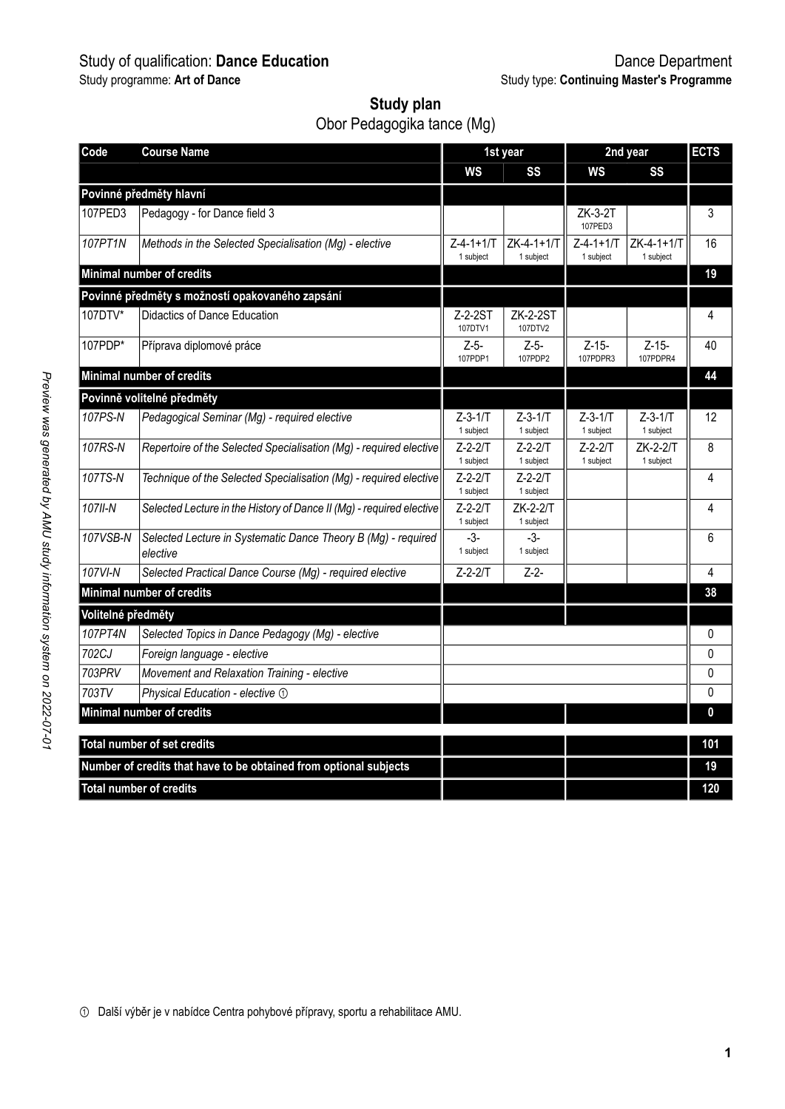# Study of qualification: **Dance Education** Dance Department

| Study plan                 |  |
|----------------------------|--|
| Obor Pedagogika tance (Mg) |  |

| Code               | <b>Course Name</b>                                                        |                                | 1st year                   |                                | 2nd year                   | <b>ECTS</b> |
|--------------------|---------------------------------------------------------------------------|--------------------------------|----------------------------|--------------------------------|----------------------------|-------------|
|                    |                                                                           | WS                             | SS                         | WS                             | SS                         |             |
|                    | Povinné předměty hlavní                                                   |                                |                            |                                |                            |             |
| 107PED3            | Pedagogy - for Dance field 3                                              |                                |                            | ZK-3-2T<br>107PED3             |                            | 3           |
| 107PT1N            | Methods in the Selected Specialisation (Mq) - elective                    | $Z - 4 - 1 + 1/T$<br>1 subject | ZK-4-1+1/T<br>1 subject    | $Z - 4 - 1 + 1/T$<br>1 subject | ZK-4-1+1/T<br>1 subject    | 16          |
|                    | Minimal number of credits                                                 |                                |                            |                                |                            | 19          |
|                    | Povinné předměty s možností opakovaného zapsání                           |                                |                            |                                |                            |             |
| 107DTV*            | Didactics of Dance Education                                              | Z-2-2ST<br>107DTV1             | <b>ZK-2-2ST</b><br>107DTV2 |                                |                            | 4           |
| 107PDP*            | Příprava diplomové práce                                                  | $Z-5-$<br>107PDP1              | $Z-5-$<br>107PDP2          | Z-15-<br>107PDPR3              | Z-15-<br>107PDPR4          | 40          |
|                    | Minimal number of credits                                                 |                                |                            |                                |                            | 44          |
|                    | Povinně volitelné předměty                                                |                                |                            |                                |                            |             |
| 107PS-N            | Pedagogical Seminar (Mg) - required elective                              | $Z-3-1/T$<br>1 subject         | Z-3-1/T<br>1 subject       | $Z-3-1/T$<br>1 subject         | $Z - 3 - 1/T$<br>1 subject | 12          |
| 107RS-N            | Repertoire of the Selected Specialisation (Mq) - required elective        | $Z - 2 - 2/T$<br>1 subject     | $Z - 2 - 2T$<br>1 subject  | $Z - 2 - 2/T$<br>1 subject     | ZK-2-2/T<br>1 subject      | 8           |
| 107TS-N            | Technique of the Selected Specialisation (Mq) - required elective         | $Z - 2 - 2/T$<br>1 subject     | $Z - 2 - 2/T$<br>1 subject |                                |                            | 4           |
| 107II-N            | Selected Lecture in the History of Dance II (Mg) - required elective      | $Z - 2 - 2/T$<br>1 subject     | $ZK-2-2/T$<br>1 subject    |                                |                            | 4           |
| 107VSB-N           | Selected Lecture in Systematic Dance Theory B (Mg) - required<br>elective | $-3-$<br>1 subject             | $-3-$<br>1 subject         |                                |                            | 6           |
| 107VI-N            | Selected Practical Dance Course (Mq) - required elective                  | $Z - 2 - 2/T$                  | $Z-2-$                     |                                |                            | 4           |
|                    | Minimal number of credits                                                 |                                |                            |                                |                            | 38          |
| Volitelné předměty |                                                                           |                                |                            |                                |                            |             |
| 107PT4N            | Selected Topics in Dance Pedagogy (Mg) - elective                         |                                |                            |                                |                            | 0           |
| 702CJ              | Foreign language - elective                                               |                                |                            |                                |                            | 0           |
| 703PRV             | Movement and Relaxation Training - elective                               |                                |                            |                                |                            | 0           |
| 703TV              | Physical Education - elective 1                                           |                                |                            |                                |                            | 0           |
|                    | Minimal number of credits                                                 |                                |                            |                                |                            | 0           |
|                    | Total number of set credits                                               |                                |                            |                                |                            | 101         |
|                    | Number of credits that have to be obtained from optional subjects         |                                |                            |                                |                            | 19          |
|                    | <b>Total number of credits</b>                                            |                                |                            |                                |                            | 120         |

① Další výběr je v nabídce Centra pohybové přípravy, sportu a rehabilitace AMU.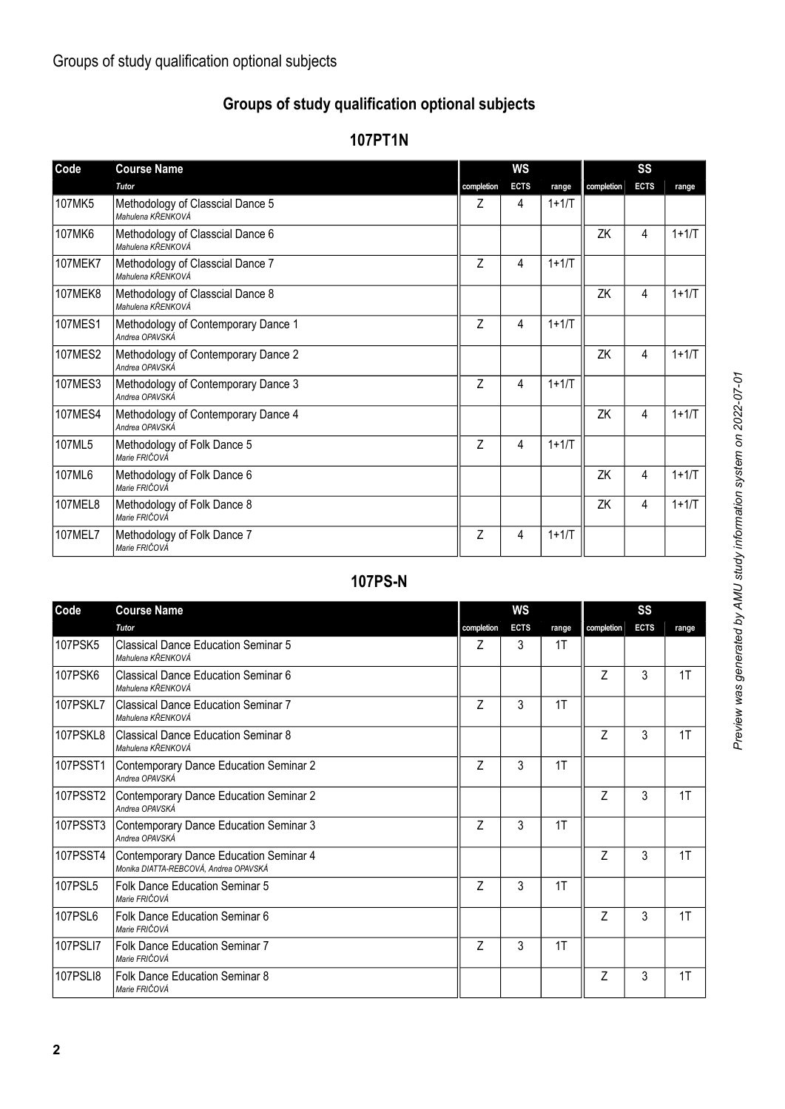### **Groups of study qualification optional subjects**

#### **107PT1N**

| Code           | <b>Course Name</b>                                    | WS         |             |           | SS         |             |         |  |
|----------------|-------------------------------------------------------|------------|-------------|-----------|------------|-------------|---------|--|
|                | <b>Tutor</b>                                          | completion | <b>ECTS</b> | range     | completion | <b>ECTS</b> | range   |  |
| 107MK5         | Methodology of Classcial Dance 5<br>Mahulena KŘENKOVÁ | Ζ          | 4           | $1 + 1/T$ |            |             |         |  |
| 107MK6         | Methodology of Classcial Dance 6<br>Mahulena KŘENKOVÁ |            |             |           | ΖK         | 4           | $1+1/T$ |  |
| <b>107MEK7</b> | Methodology of Classcial Dance 7<br>Mahulena KŘENKOVÁ | Z          | 4           | $1+1/T$   |            |             |         |  |
| <b>107MEK8</b> | Methodology of Classcial Dance 8<br>Mahulena KŘENKOVÁ |            |             |           | ΖK         | 4           | $1+1/T$ |  |
| <b>107MES1</b> | Methodology of Contemporary Dance 1<br>Andrea OPAVSKÁ | Z          | 4           | $1+1/T$   |            |             |         |  |
| <b>107MES2</b> | Methodology of Contemporary Dance 2<br>Andrea OPAVSKÁ |            |             |           | ΖK         | 4           | $1+1/T$ |  |
| 107MES3        | Methodology of Contemporary Dance 3<br>Andrea OPAVSKÁ | Z          | 4           | $1+1/T$   |            |             |         |  |
| <b>107MES4</b> | Methodology of Contemporary Dance 4<br>Andrea OPAVSKÁ |            |             |           | ZK         | 4           | $1+1/T$ |  |
| 107ML5         | Methodology of Folk Dance 5<br>Marie FRIČOVÁ          | 7          | 4           | $1+1/T$   |            |             |         |  |
| 107ML6         | Methodology of Folk Dance 6<br>Marie FRIČOVÁ          |            |             |           | ZK         | 4           | $1+1/T$ |  |
| <b>107MEL8</b> | Methodology of Folk Dance 8<br>Marie FRIČOVÁ          |            |             |           | ZK         | 4           | $1+1/T$ |  |
| 107MEL7        | Methodology of Folk Dance 7<br>Marie FRIČOVÁ          | 7          | 4           | $1 + 1/T$ |            |             |         |  |

## **107PS-N**

| Code     | <b>Course Name</b>                                                              | WS         |             |       | SS         |             |       |  |
|----------|---------------------------------------------------------------------------------|------------|-------------|-------|------------|-------------|-------|--|
|          | <b>Tutor</b>                                                                    | completion | <b>ECTS</b> | range | completion | <b>ECTS</b> | range |  |
| 107PSK5  | Classical Dance Education Seminar 5<br>Mahulena KŘENKOVÁ                        | 7          | 3           | 1T    |            |             |       |  |
| 107PSK6  | Classical Dance Education Seminar 6<br>Mahulena KŘENKOVÁ                        |            |             |       | Z          | 3           | 1T    |  |
| 107PSKL7 | Classical Dance Education Seminar 7<br>Mahulena KŘENKOVÁ                        | 7          | 3           | 1T    |            |             |       |  |
| 107PSKL8 | l Classical Dance Education Seminar 8<br>Mahulena KŘENKOVÁ                      |            |             |       | Z          | 3           | 1T    |  |
| 107PSST1 | Contemporary Dance Education Seminar 2<br>Andrea OPAVSKÁ                        | Z          | 3           | 1T    |            |             |       |  |
| 107PSST2 | Contemporary Dance Education Seminar 2<br>Andrea OPAVSKÁ                        |            |             |       | 7          | 3           | 1T    |  |
| 107PSST3 | Contemporary Dance Education Seminar 3<br>Andrea OPAVSKÁ                        | 7          | 3           | 1T    |            |             |       |  |
| 107PSST4 | Contemporary Dance Education Seminar 4<br>Monika DIATTA-REBCOVÁ, Andrea OPAVSKÁ |            |             |       | 7          | 3           | 1T    |  |
| 107PSL5  | <b>Folk Dance Education Seminar 5</b><br>Marie FRIČOVÁ                          | Z          | 3           | 1T    |            |             |       |  |
| 107PSL6  | <b>Folk Dance Education Seminar 6</b><br>Marie FRIČOVÁ                          |            |             |       | Z          | 3           | 1T    |  |
| 107PSLI7 | <b>Folk Dance Education Seminar 7</b><br>Marie FRIČOVÁ                          | 7          | 3           | 1T    |            |             |       |  |
| 107PSLI8 | Folk Dance Education Seminar 8<br>Marie FRIČOVÁ                                 |            |             |       | Z          | 3           | 1T    |  |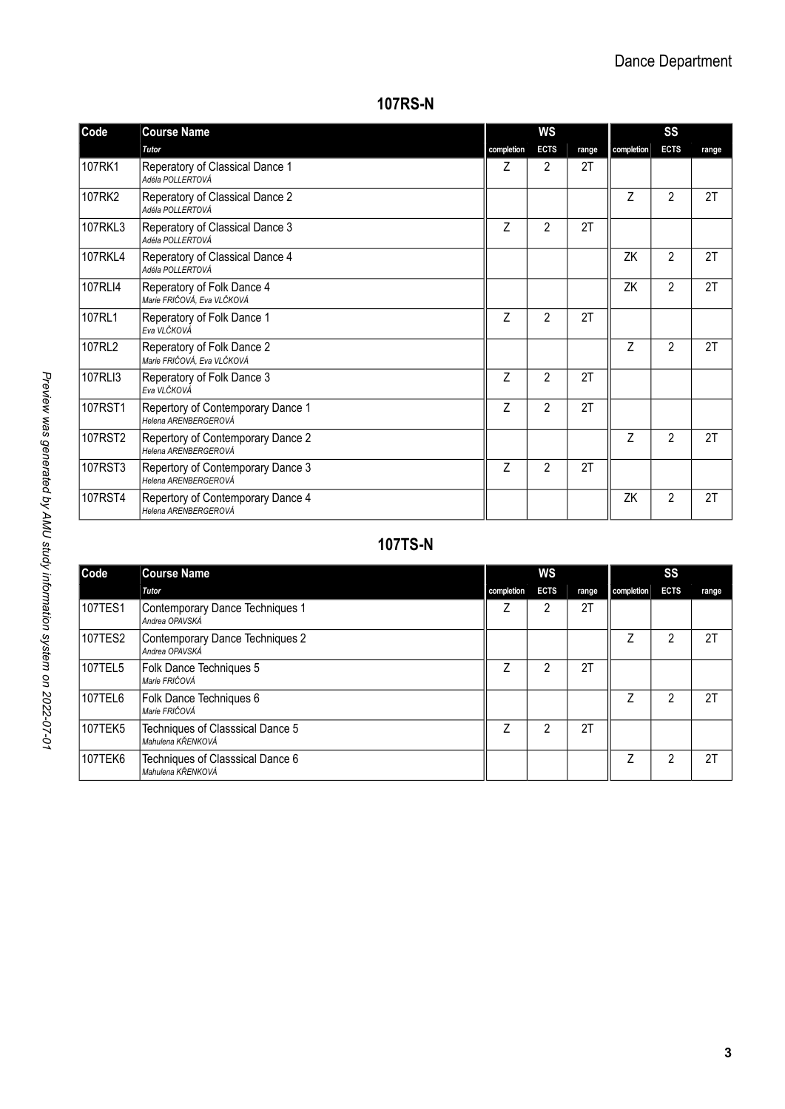#### **107RS-N**

| Code           | <b>Course Name</b>                                        | WS         |                |       | SS         |                |       |  |
|----------------|-----------------------------------------------------------|------------|----------------|-------|------------|----------------|-------|--|
|                | Tutor                                                     | completion | <b>ECTS</b>    | range | completion | <b>ECTS</b>    | range |  |
| 107RK1         | Reperatory of Classical Dance 1<br>Adéla POLLERTOVÁ       | Ζ          | 2              | 2T    |            |                |       |  |
| 107RK2         | Reperatory of Classical Dance 2<br>Adéla POLLERTOVÁ       |            |                |       | Z          | 2              | 2T    |  |
| 107RKL3        | Reperatory of Classical Dance 3<br>Adéla POLLERTOVÁ       | Z          | $\overline{2}$ | 2T    |            |                |       |  |
| <b>107RKL4</b> | Reperatory of Classical Dance 4<br>Adéla POLLERTOVÁ       |            |                |       | ZK         | 2              | 2T    |  |
| 107RLI4        | Reperatory of Folk Dance 4<br>Marie FRIČOVÁ, Eva VLČKOVÁ  |            |                |       | ZK         | $\overline{2}$ | 2T    |  |
| 107RL1         | Reperatory of Folk Dance 1<br>Eva VI.ČKOVÁ                | Z          | $\overline{2}$ | 2T    |            |                |       |  |
| 107RL2         | Reperatory of Folk Dance 2<br>Marie FRIČOVÁ, Eva VLČKOVÁ  |            |                |       | Z          | $\overline{2}$ | 2T    |  |
| 107RLI3        | Reperatory of Folk Dance 3<br>Eva VLČKOVÁ                 | Z          | 2              | 2T    |            |                |       |  |
| 107RST1        | Repertory of Contemporary Dance 1<br>Helena ARENBERGEROVÁ | Z          | 2              | 2T    |            |                |       |  |
| 107RST2        | Repertory of Contemporary Dance 2<br>Helena ARENBERGEROVÁ |            |                |       | Z          | $\overline{2}$ | 2T    |  |
| 107RST3        | Repertory of Contemporary Dance 3<br>Helena ARENBERGEROVÁ | Z          | 2              | 2T    |            |                |       |  |
| 107RST4        | Repertory of Contemporary Dance 4<br>Helena ARENBERGEROVÁ |            |                |       | ZK         | $\overline{2}$ | 2T    |  |

# **107TS-N**

| Code           | <b>Course Name</b>                                    | ws         |             |       | SS         |             |       |  |  |
|----------------|-------------------------------------------------------|------------|-------------|-------|------------|-------------|-------|--|--|
|                | Tutor                                                 | completion | <b>ECTS</b> | range | completion | <b>ECTS</b> | range |  |  |
| 107TES1        | Contemporary Dance Techniques 1<br>Andrea OPAVSKÁ     |            | 2           | 2T    |            |             |       |  |  |
| 107TES2        | Contemporary Dance Techniques 2<br>Andrea OPAVSKÁ     |            |             |       |            | 2           | 2T    |  |  |
| 107TEL5        | Folk Dance Techniques 5<br>Marie FRIČOVÁ              |            | 2           | 2T    |            |             |       |  |  |
| 107TEL6        | Folk Dance Techniques 6<br>Marie FRIČOVÁ              |            |             |       |            | 2           | 2T    |  |  |
| <b>107TEK5</b> | Techniques of Classsical Dance 5<br>Mahulena KŘENKOVÁ |            | 2           | 2T    |            |             |       |  |  |
| 107TEK6        | Techniques of Classsical Dance 6<br>Mahulena KŘENKOVÁ |            |             |       |            | 2           | 2T    |  |  |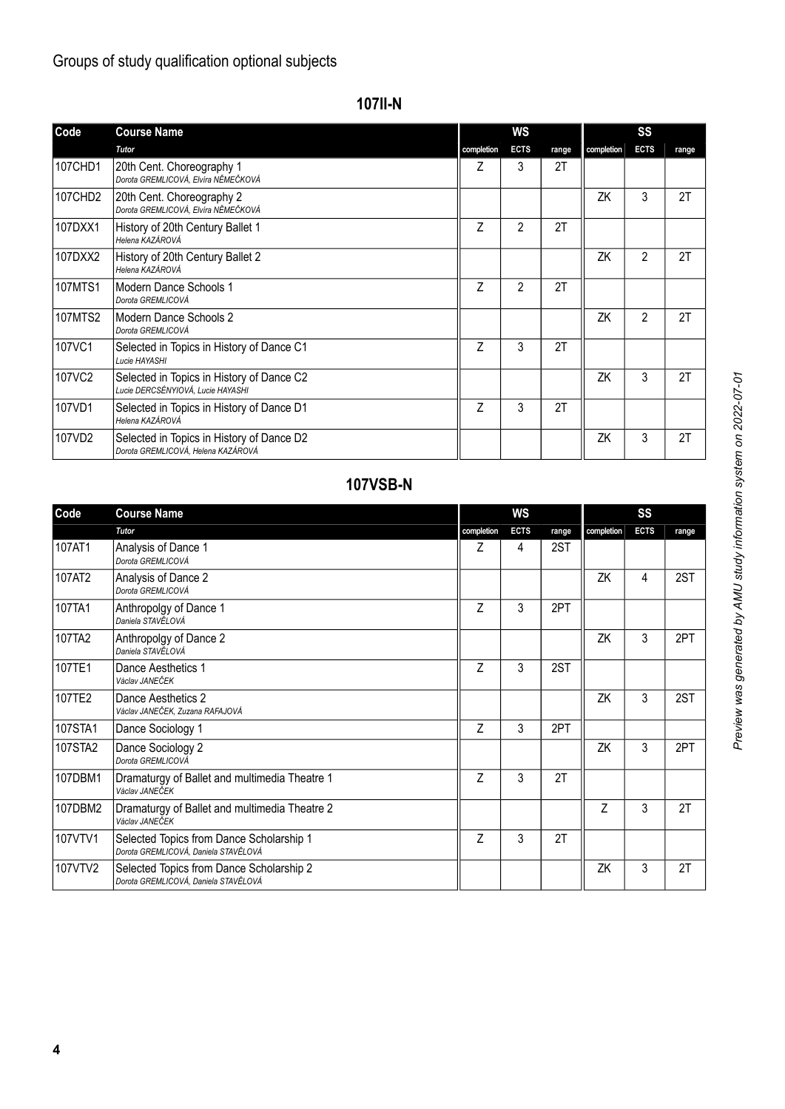# Groups of study qualification optional subjects

| ۰, |  |
|----|--|
|----|--|

| Code    | <b>Course Name</b>                                                              | WS         |                |       | SS         |                |       |  |
|---------|---------------------------------------------------------------------------------|------------|----------------|-------|------------|----------------|-------|--|
|         | <b>Tutor</b>                                                                    | completion | <b>ECTS</b>    | range | completion | <b>ECTS</b>    | range |  |
| 107CHD1 | 20th Cent. Choreography 1<br>Dorota GREMLICOVÁ, Elvíra NĚMEČKOVÁ                | Ζ          | 3              | 2T    |            |                |       |  |
| 107CHD2 | 20th Cent. Choreography 2<br>Dorota GREMLICOVÁ, Elvíra NĚMEČKOVÁ                |            |                |       | ZK         | 3              | 2T    |  |
| 107DXX1 | History of 20th Century Ballet 1<br>Helena KAZÁROVÁ                             | Z          | $\overline{2}$ | 2T    |            |                |       |  |
| 107DXX2 | History of 20th Century Ballet 2<br>Helena KAZÁROVÁ                             |            |                |       | ZK         | $\overline{2}$ | 2T    |  |
| 107MTS1 | Modern Dance Schools 1<br>Dorota GREMLICOVÁ                                     | 7          | 2              | 2T    |            |                |       |  |
| 107MTS2 | Modern Dance Schools 2<br>Dorota GREMLICOVÁ                                     |            |                |       | ZK         | $\overline{2}$ | 2T    |  |
| 107VC1  | Selected in Topics in History of Dance C1<br>Lucie HAYASHI                      | Z          | 3              | 2T    |            |                |       |  |
| 107VC2  | Selected in Topics in History of Dance C2<br>Lucie DERCSÉNYIOVÁ, Lucie HAYASHI  |            |                |       | ZK         | 3              | 2T    |  |
| 107VD1  | Selected in Topics in History of Dance D1<br>Helena KAZÁROVÁ                    | Z          | 3              | 2T    |            |                |       |  |
| 107VD2  | Selected in Topics in History of Dance D2<br>Dorota GREMLICOVÁ, Helena KAZÁROVÁ |            |                |       | ZK         | 3              | 2T    |  |

# **107VSB-N**

| Code    | <b>Course Name</b>                                                               | WS             |             |       | SS         |             |       |  |
|---------|----------------------------------------------------------------------------------|----------------|-------------|-------|------------|-------------|-------|--|
|         | Tutor                                                                            | completion     | <b>ECTS</b> | range | completion | <b>ECTS</b> | range |  |
| 107AT1  | Analysis of Dance 1<br>Dorota GREMLICOVÁ                                         | Z              | 4           | 2ST   |            |             |       |  |
| 107AT2  | Analysis of Dance 2<br>Dorota GREMLICOVÁ                                         |                |             |       | ZK         | 4           | 2ST   |  |
| 107TA1  | Anthropolgy of Dance 1<br>Daniela STAVĚLOVÁ                                      | Z              | 3           | 2PT   |            |             |       |  |
| 107TA2  | Anthropolgy of Dance 2<br>Daniela STAVĚLOVÁ                                      |                |             |       | ZK         | 3           | 2PT   |  |
| 107TE1  | Dance Aesthetics 1<br>Václav JANEČEK                                             | Z              | 3           | 2ST   |            |             |       |  |
| 107TE2  | Dance Aesthetics 2<br>Václav JANEČEK, Zuzana RAFAJOVÁ                            |                |             |       | ZK         | 3           | 2ST   |  |
| 107STA1 | Dance Sociology 1                                                                | $\overline{7}$ | 3           | 2PT   |            |             |       |  |
| 107STA2 | Dance Sociology 2<br>Dorota GREMLICOVÁ                                           |                |             |       | ZK         | 3           | 2PT   |  |
| 107DBM1 | Dramaturgy of Ballet and multimedia Theatre 1<br>Václav JANEČEK                  | Z              | 3           | 2T    |            |             |       |  |
| 107DBM2 | Dramaturgy of Ballet and multimedia Theatre 2<br>Václav JANEČEK                  |                |             |       | Z          | 3           | 2T    |  |
| 107VTV1 | Selected Topics from Dance Scholarship 1<br>Dorota GREMLICOVÁ, Daniela STAVĚLOVÁ | $\overline{7}$ | 3           | 2T    |            |             |       |  |
| 107VTV2 | Selected Topics from Dance Scholarship 2<br>Dorota GREMLICOVÁ, Daniela STAVĚLOVÁ |                |             |       | ZK         | 3           | 2T    |  |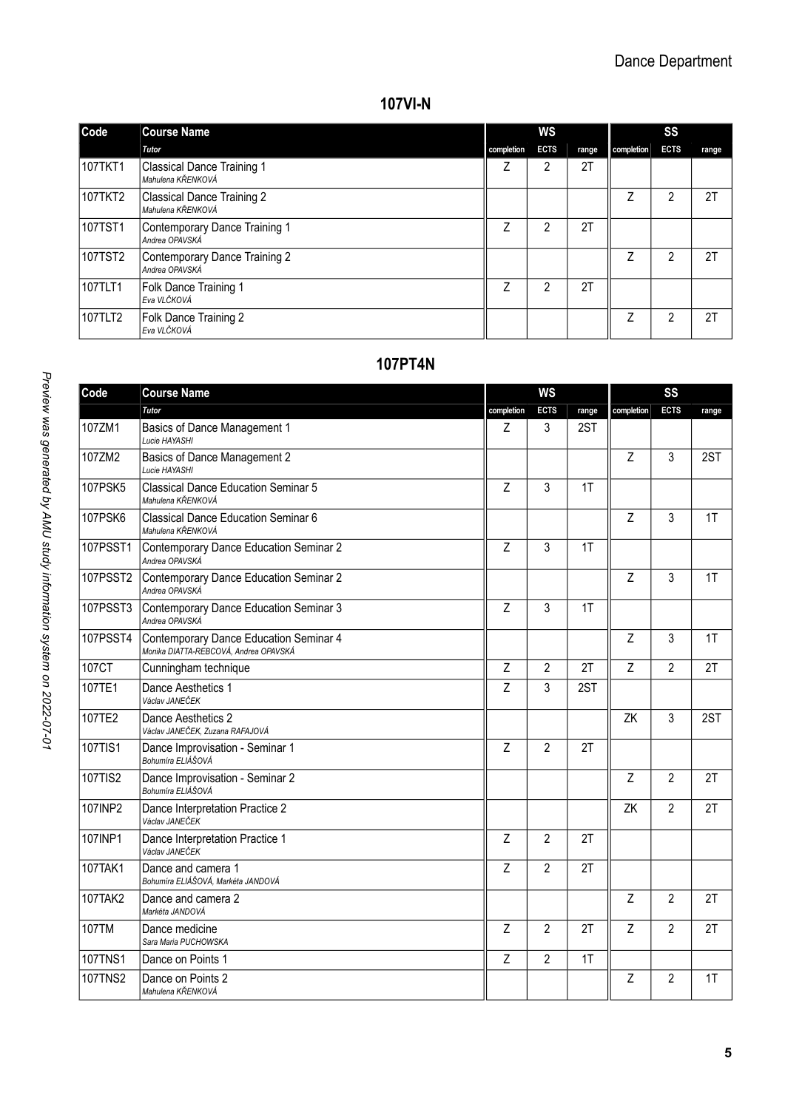#### **107VI-N**

| Code    | <b>Course Name</b>                                     | ws         |             |       | SS         |             |       |  |
|---------|--------------------------------------------------------|------------|-------------|-------|------------|-------------|-------|--|
|         | Tutor                                                  | completion | <b>ECTS</b> | range | completion | <b>ECTS</b> | range |  |
| 107TKT1 | Classical Dance Training 1<br>Mahulena KŘENKOVÁ        |            | 2           | 2T    |            |             |       |  |
| 107TKT2 | <b>Classical Dance Training 2</b><br>Mahulena KŘENKOVÁ |            |             |       |            | 2           | 2T    |  |
| 107TST1 | Contemporary Dance Training 1<br>Andrea OPAVSKÁ        |            | 2           | 2T    |            |             |       |  |
| 107TST2 | Contemporary Dance Training 2<br>Andrea OPAVSKÁ        |            |             |       | 7          | 2           | 2T    |  |
| 107TLT1 | Folk Dance Training 1<br>Eva VLČKOVÁ                   | 7          | 2           | 2T    |            |             |       |  |
| 107TLT2 | Folk Dance Training 2<br>Eva VLČKOVÁ                   |            |             |       | 7          | 2           | 2T    |  |

### **107PT4N**

| Code            | <b>Course Name</b>                                                              | <b>WS</b>      |                |       | SS             |                |       |  |
|-----------------|---------------------------------------------------------------------------------|----------------|----------------|-------|----------------|----------------|-------|--|
|                 | Tutor                                                                           | completion     | <b>ECTS</b>    | range | completion     | <b>ECTS</b>    | range |  |
| 107ZM1          | Basics of Dance Management 1<br>Lucie HAYASHI                                   | Z              | 3              | 2ST   |                |                |       |  |
| 107ZM2          | Basics of Dance Management 2<br>Lucie HAYASHI                                   |                |                |       | Z              | 3              | 2ST   |  |
| 107PSK5         | Classical Dance Education Seminar 5<br>Mahulena KŘENKOVÁ                        | $\overline{z}$ | 3              | 1T    |                |                |       |  |
| <b>107PSK6</b>  | Classical Dance Education Seminar 6<br>Mahulena KŘENKOVÁ                        |                |                |       | Z              | 3              | 1T    |  |
| 107PSST1        | Contemporary Dance Education Seminar 2<br>Andrea OPAVSKÁ                        | Z              | 3              | 1T    |                |                |       |  |
| 107PSST2        | Contemporary Dance Education Seminar 2<br>Andrea OPAVSKÁ                        |                |                |       | Z              | 3              | 1T    |  |
| 107PSST3        | Contemporary Dance Education Seminar 3<br>Andrea OPAVSKÁ                        | $\overline{z}$ | 3              | 1T    |                |                |       |  |
| <b>107PSST4</b> | Contemporary Dance Education Seminar 4<br>Monika DIATTA-REBCOVÁ. Andrea OPAVSKÁ |                |                |       | Z              | 3              | 1T    |  |
| 107CT           | Cunningham technique                                                            | Z              | $\overline{2}$ | 2T    | $\overline{z}$ | $\mathfrak{p}$ | 2T    |  |
| 107TE1          | Dance Aesthetics 1<br>Václav JANEČEK                                            | Z              | 3              | 2ST   |                |                |       |  |
| 107TE2          | Dance Aesthetics 2<br>Václav JANEČEK, Zuzana RAFAJOVÁ                           |                |                |       | ZK             | 3              | 2ST   |  |
| 107TIS1         | Dance Improvisation - Seminar 1<br>Bohumíra ELIÁŠOVÁ                            | Z              | $\overline{2}$ | 2T    |                |                |       |  |
| 107TIS2         | Dance Improvisation - Seminar 2<br>Bohumíra ELIÁŠOVÁ                            |                |                |       | Z              | $\mathfrak{p}$ | 2T    |  |
| 107INP2         | Dance Interpretation Practice 2<br>Václav JANEČEK                               |                |                |       | ZK             | $\overline{2}$ | 2T    |  |
| 107INP1         | Dance Interpretation Practice 1<br>Václav JANEČEK                               | Z              | $\overline{2}$ | 2T    |                |                |       |  |
| 107TAK1         | Dance and camera 1<br>Bohumíra ELIÁŠOVÁ. Markéta JANDOVÁ                        | Z              | $\overline{2}$ | 2T    |                |                |       |  |
| 107TAK2         | Dance and camera 2<br>Markéta JANDOVÁ                                           |                |                |       | Z              | $\mathfrak{p}$ | 2T    |  |
| 107TM           | Dance medicine<br>Sara Maria PUCHOWSKA                                          | Z              | $\overline{2}$ | 2T    | Z              | $\overline{2}$ | 2T    |  |
| <b>107TNS1</b>  | Dance on Points 1                                                               | Z              | $\overline{2}$ | 1T    |                |                |       |  |
| <b>107TNS2</b>  | Dance on Points 2<br>Mahulena KŘENKOVÁ                                          |                |                |       | Z              | $\overline{2}$ | 1T    |  |